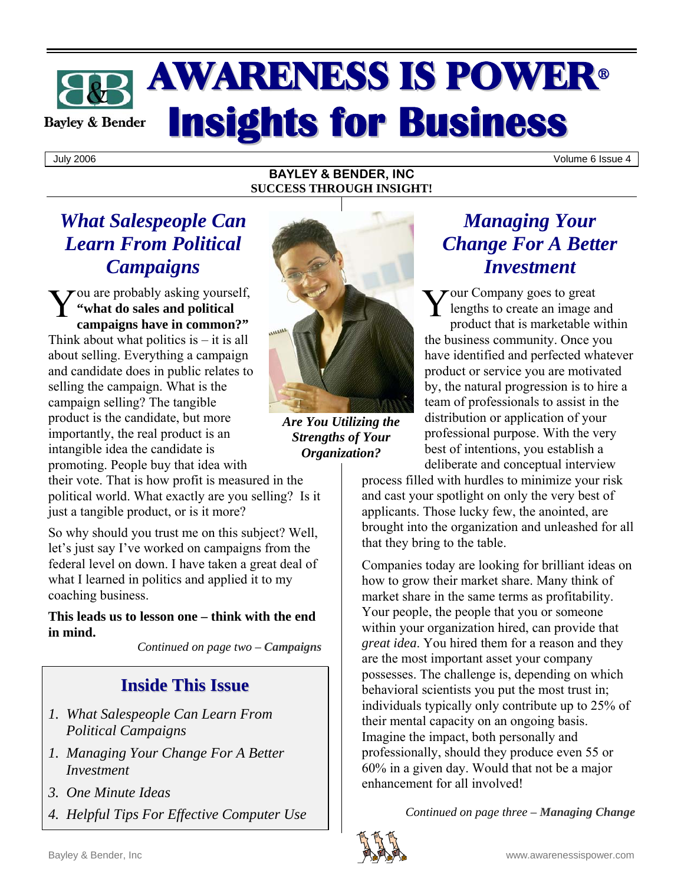# **AWARENESS IS POWER® Insights for Business Bayley & Bender**

July 2006 Volume 6 Issue 4

#### **BAYLEY & BENDER, INC SUCCESS THROUGH INSIGHT!**

### *What Salespeople Can Learn From Political Campaigns*

You are probably asking yourself,<br>
"what do sales and political common?" **"what do sales and political campaigns have in common?"** Think about what politics is  $-$  it is all about selling. Everything a campaign and candidate does in public relates to selling the campaign. What is the campaign selling? The tangible product is the candidate, but more importantly, the real product is an intangible idea the candidate is promoting. People buy that idea with



*Are You Utilizing the Strengths of Your Organization?* 

their vote. That is how profit is measured in the political world. What exactly are you selling? Is it just a tangible product, or is it more?

So why should you trust me on this subject? Well, let's just say I've worked on campaigns from the federal level on down. I have taken a great deal of what I learned in politics and applied it to my coaching business.

**This leads us to lesson one – think with the end in mind.**

*Continued on page two – Campaigns* 

### **Inside This Issue**

- *1. What Salespeople Can Learn From Political Campaigns*
- *1. Managing Your Change For A Better Investment*
- *3. One Minute Ideas*
- *4. Helpful Tips For Effective Computer Use*

### *Managing Your Change For A Better Investment*

 $\sum$  our Company goes to great lengths to create an image and product that is marketable within the business community. Once you have identified and perfected whatever product or service you are motivated by, the natural progression is to hire a team of professionals to assist in the distribution or application of your professional purpose. With the very best of intentions, you establish a deliberate and conceptual interview

process filled with hurdles to minimize your risk and cast your spotlight on only the very best of applicants. Those lucky few, the anointed, are brought into the organization and unleashed for all that they bring to the table.

Companies today are looking for brilliant ideas on how to grow their market share. Many think of market share in the same terms as profitability. Your people, the people that you or someone within your organization hired, can provide that *great idea*. You hired them for a reason and they are the most important asset your company possesses. The challenge is, depending on which behavioral scientists you put the most trust in; individuals typically only contribute up to 25% of their mental capacity on an ongoing basis. Imagine the impact, both personally and professionally, should they produce even 55 or 60% in a given day. Would that not be a major enhancement for all involved!

*Continued on page three – Managing Change* 

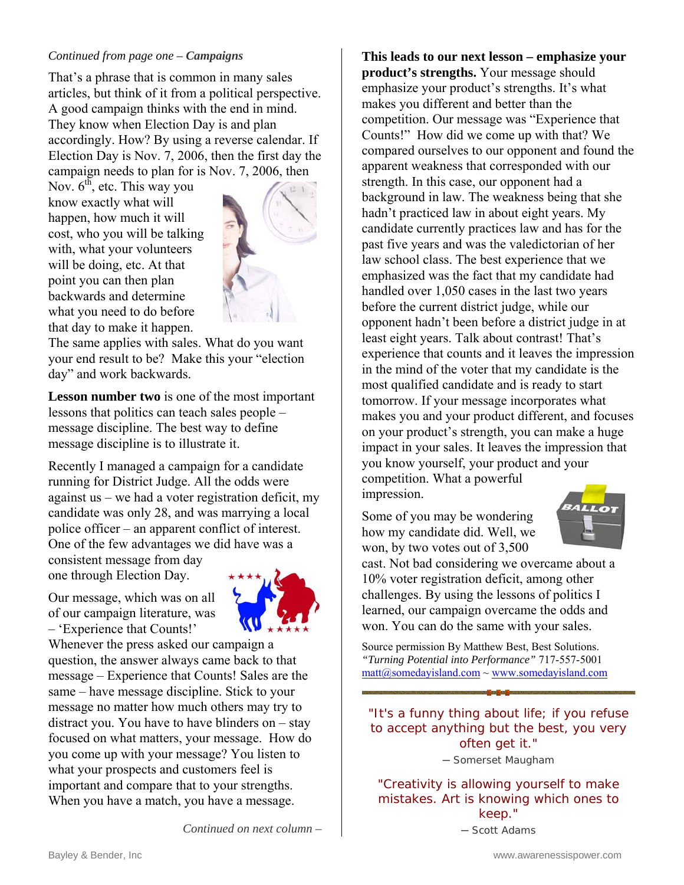#### *Continued from page one – Campaigns*

That's a phrase that is common in many sales articles, but think of it from a political perspective. A good campaign thinks with the end in mind. They know when Election Day is and plan accordingly. How? By using a reverse calendar. If Election Day is Nov. 7, 2006, then the first day the campaign needs to plan for is Nov. 7, 2006, then

Nov.  $6<sup>th</sup>$ , etc. This way you know exactly what will happen, how much it will cost, who you will be talking with, what your volunteers will be doing, etc. At that point you can then plan backwards and determine what you need to do before that day to make it happen.



The same applies with sales. What do you want your end result to be? Make this your "election day" and work backwards.

**Lesson number two** is one of the most important lessons that politics can teach sales people – message discipline. The best way to define message discipline is to illustrate it.

Recently I managed a campaign for a candidate running for District Judge. All the odds were against us – we had a voter registration deficit, my candidate was only 28, and was marrying a local police officer – an apparent conflict of interest. One of the few advantages we did have was a

consistent message from day one through Election Day.

Our message, which was on all of our campaign literature, was – 'Experience that Counts!'



*Continued on next column –* 

Whenever the press asked our campaign a question, the answer always came back to that message – Experience that Counts! Sales are the same – have message discipline. Stick to your message no matter how much others may try to distract you. You have to have blinders on – stay focused on what matters, your message. How do you come up with your message? You listen to what your prospects and customers feel is important and compare that to your strengths. When you have a match, you have a message.

**This leads to our next lesson – emphasize your product's strengths.** Your message should emphasize your product's strengths. It's what makes you different and better than the competition. Our message was "Experience that Counts!" How did we come up with that? We compared ourselves to our opponent and found the apparent weakness that corresponded with our strength. In this case, our opponent had a background in law. The weakness being that she hadn't practiced law in about eight years. My candidate currently practices law and has for the past five years and was the valedictorian of her law school class. The best experience that we emphasized was the fact that my candidate had handled over 1,050 cases in the last two years before the current district judge, while our opponent hadn't been before a district judge in at least eight years. Talk about contrast! That's experience that counts and it leaves the impression in the mind of the voter that my candidate is the most qualified candidate and is ready to start tomorrow. If your message incorporates what makes you and your product different, and focuses on your product's strength, you can make a huge impact in your sales. It leaves the impression that you know yourself, your product and your competition. What a powerful impression.

Some of you may be wondering how my candidate did. Well, we won, by two votes out of 3,500



cast. Not bad considering we overcame about a 10% voter registration deficit, among other challenges. By using the lessons of politics I learned, our campaign overcame the odds and won. You can do the same with your sales.

Source permission By Matthew Best, Best Solutions. *"Turning Potential into Performance"* 717-557-5001  $\text{matt@somedavisland.com} \sim \text{www.somedavisland.com}$ 

"It's a funny thing about life; if you refuse to accept anything but the best, you very often get it."

─ Somerset Maugham

"Creativity is allowing yourself to make mistakes. Art is knowing which ones to keep."

─ Scott Adams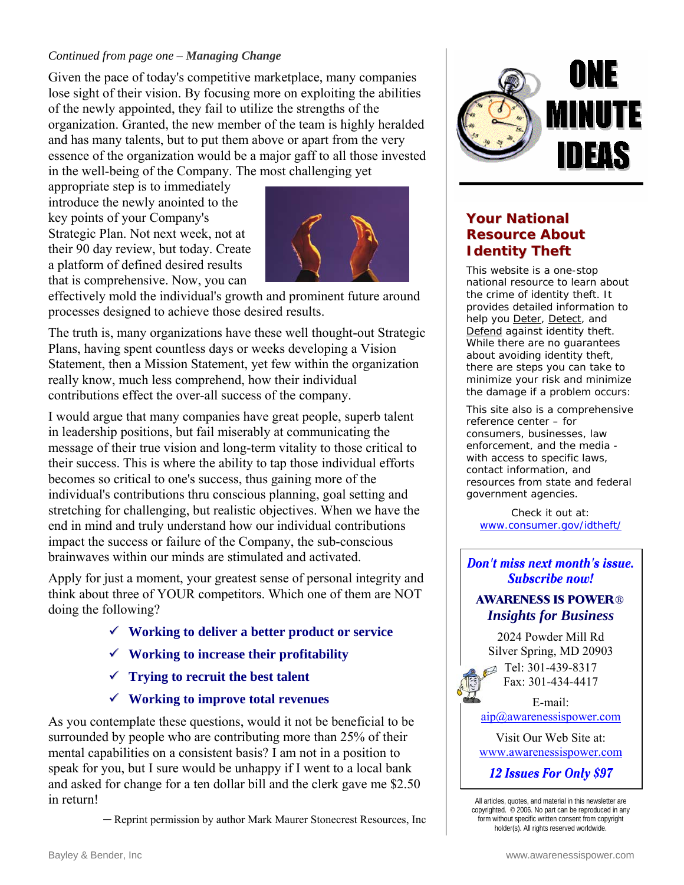#### *Continued from page one – Managing Change*

Given the pace of today's competitive marketplace, many companies lose sight of their vision. By focusing more on exploiting the abilities of the newly appointed, they fail to utilize the strengths of the organization. Granted, the new member of the team is highly heralded and has many talents, but to put them above or apart from the very essence of the organization would be a major gaff to all those invested in the well-being of the Company. The most challenging yet

appropriate step is to immediately introduce the newly anointed to the key points of your Company's Strategic Plan. Not next week, not at their 90 day review, but today. Create a platform of defined desired results that is comprehensive. Now, you can



effectively mold the individual's growth and prominent future around processes designed to achieve those desired results.

The truth is, many organizations have these well thought-out Strategic Plans, having spent countless days or weeks developing a Vision Statement, then a Mission Statement, yet few within the organization really know, much less comprehend, how their individual contributions effect the over-all success of the company.

I would argue that many companies have great people, superb talent in leadership positions, but fail miserably at communicating the message of their true vision and long-term vitality to those critical to their success. This is where the ability to tap those individual efforts becomes so critical to one's success, thus gaining more of the individual's contributions thru conscious planning, goal setting and stretching for challenging, but realistic objectives. When we have the end in mind and truly understand how our individual contributions impact the success or failure of the Company, the sub-conscious brainwaves within our minds are stimulated and activated.

Apply for just a moment, your greatest sense of personal integrity and think about three of YOUR competitors. Which one of them are NOT doing the following?

- 9 **Working to deliver a better product or service**
- 9 **Working to increase their profitability**
- 9 **Trying to recruit the best talent**
- 9 **Working to improve total revenues**

As you contemplate these questions, would it not be beneficial to be surrounded by people who are contributing more than 25% of their mental capabilities on a consistent basis? I am not in a position to speak for you, but I sure would be unhappy if I went to a local bank and asked for change for a ten dollar bill and the clerk gave me \$2.50 in return!

─ Reprint permission by author Mark Maurer Stonecrest Resources, Inc



#### **Your National Resource About Identity Theft**

This website is a one-stop national resource to learn about the crime of identity theft. It provides detailed information to help you Deter, Detect, and Defend against identity theft. While there are no guarantees about avoiding identity theft, there are steps you can take to minimize your risk and minimize the damage if a problem occurs:

This site also is a comprehensive reference center – for consumers, businesses, law enforcement, and the media with access to specific laws, contact information, and resources from state and federal government agencies.

Check it out at: <www.consumer.gov/idtheft/>

#### Don't miss next month's issue. **Subscribe now!**

#### **AWARENESS IS POWER**® *Insights for Business*

2024 Powder Mill Rd Silver Spring, MD 20903  $\blacksquare$  Tel: 301-439-8317 Fax: 301-434-4417

E-mail: [aip@awarenessispower.com](mailto: aip@awarenessispower.com)

Visit Our Web Site at: <www.awarenessispower.com>

12 Issues For Only \$97

All articles, quotes, and material in this newsletter are copyrighted. © 2006. No part can be reproduced in any form without specific written consent from copyright holder(s). All rights reserved worldwide.